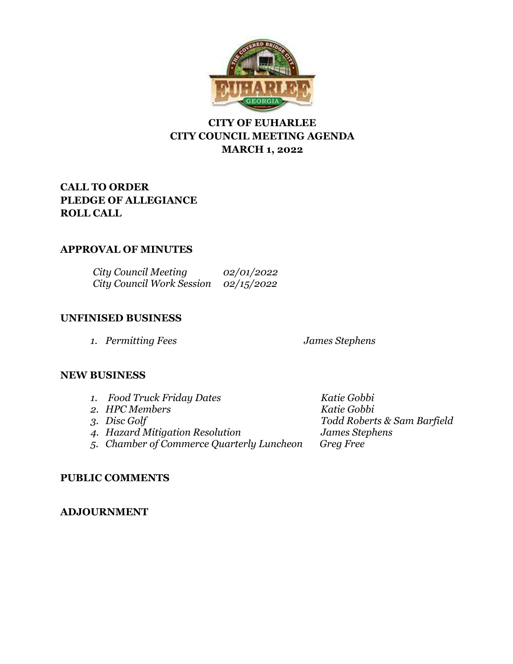

# **CITY OF EUHARLEE CITY COUNCIL MEETING AGENDA MARCH 1, 2022**

# **CALL TO ORDER PLEDGE OF ALLEGIANCE ROLL CALL**

# **APPROVAL OF MINUTES**

*City Council Meeting 02/01/2022 City Council Work Session 02/15/2022*

# **UNFINISED BUSINESS**

*1. Permitting Fees James Stephens*

# **NEW BUSINESS**

| 1. Food Truck Friday Dates                | Katie Gobbi                 |
|-------------------------------------------|-----------------------------|
| 2. HPC Members                            | Katie Gobbi                 |
| 3. Disc Golf                              | Todd Roberts & Sam Barfield |
| 4. Hazard Mitigation Resolution           | James Stephens              |
| 5. Chamber of Commerce Quarterly Luncheon | Greg Free                   |
|                                           |                             |

# **PUBLIC COMMENTS**

# **ADJOURNMENT**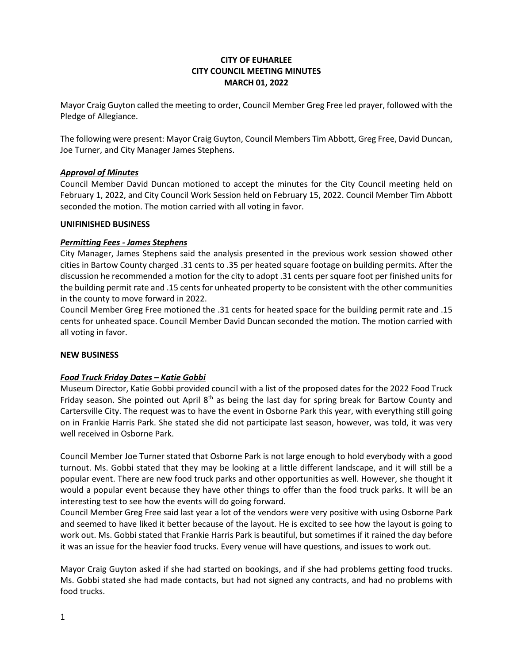### **CITY OF EUHARLEE CITY COUNCIL MEETING MINUTES MARCH 01, 2022**

Mayor Craig Guyton called the meeting to order, Council Member Greg Free led prayer, followed with the Pledge of Allegiance.

The following were present: Mayor Craig Guyton, Council Members Tim Abbott, Greg Free, David Duncan, Joe Turner, and City Manager James Stephens.

### *Approval of Minutes*

Council Member David Duncan motioned to accept the minutes for the City Council meeting held on February 1, 2022, and City Council Work Session held on February 15, 2022. Council Member Tim Abbott seconded the motion. The motion carried with all voting in favor.

#### **UNIFINISHED BUSINESS**

#### *Permitting Fees - James Stephens*

City Manager, James Stephens said the analysis presented in the previous work session showed other cities in Bartow County charged .31 cents to .35 per heated square footage on building permits. After the discussion he recommended a motion for the city to adopt .31 cents per square foot per finished units for the building permit rate and .15 cents for unheated property to be consistent with the other communities in the county to move forward in 2022.

Council Member Greg Free motioned the .31 cents for heated space for the building permit rate and .15 cents for unheated space. Council Member David Duncan seconded the motion. The motion carried with all voting in favor.

#### **NEW BUSINESS**

### *Food Truck Friday Dates – Katie Gobbi*

Museum Director, Katie Gobbi provided council with a list of the proposed dates for the 2022 Food Truck Friday season. She pointed out April 8<sup>th</sup> as being the last day for spring break for Bartow County and Cartersville City. The request was to have the event in Osborne Park this year, with everything still going on in Frankie Harris Park. She stated she did not participate last season, however, was told, it was very well received in Osborne Park.

Council Member Joe Turner stated that Osborne Park is not large enough to hold everybody with a good turnout. Ms. Gobbi stated that they may be looking at a little different landscape, and it will still be a popular event. There are new food truck parks and other opportunities as well. However, she thought it would a popular event because they have other things to offer than the food truck parks. It will be an interesting test to see how the events will do going forward.

Council Member Greg Free said last year a lot of the vendors were very positive with using Osborne Park and seemed to have liked it better because of the layout. He is excited to see how the layout is going to work out. Ms. Gobbi stated that Frankie Harris Park is beautiful, but sometimes if it rained the day before it was an issue for the heavier food trucks. Every venue will have questions, and issues to work out.

Mayor Craig Guyton asked if she had started on bookings, and if she had problems getting food trucks. Ms. Gobbi stated she had made contacts, but had not signed any contracts, and had no problems with food trucks.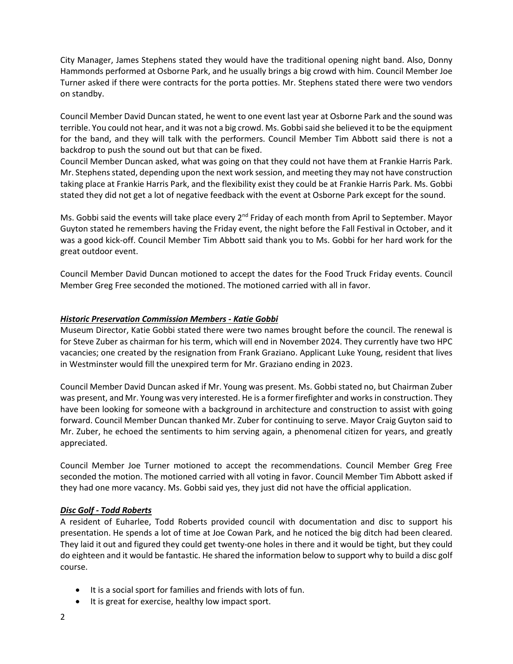City Manager, James Stephens stated they would have the traditional opening night band. Also, Donny Hammonds performed at Osborne Park, and he usually brings a big crowd with him. Council Member Joe Turner asked if there were contracts for the porta potties. Mr. Stephens stated there were two vendors on standby.

Council Member David Duncan stated, he went to one event last year at Osborne Park and the sound was terrible. You could not hear, and it was not a big crowd. Ms. Gobbi said she believed it to be the equipment for the band, and they will talk with the performers. Council Member Tim Abbott said there is not a backdrop to push the sound out but that can be fixed.

Council Member Duncan asked, what was going on that they could not have them at Frankie Harris Park. Mr. Stephens stated, depending upon the next work session, and meeting they may not have construction taking place at Frankie Harris Park, and the flexibility exist they could be at Frankie Harris Park. Ms. Gobbi stated they did not get a lot of negative feedback with the event at Osborne Park except for the sound.

Ms. Gobbi said the events will take place every  $2^{nd}$  Friday of each month from April to September. Mayor Guyton stated he remembers having the Friday event, the night before the Fall Festival in October, and it was a good kick-off. Council Member Tim Abbott said thank you to Ms. Gobbi for her hard work for the great outdoor event.

Council Member David Duncan motioned to accept the dates for the Food Truck Friday events. Council Member Greg Free seconded the motioned. The motioned carried with all in favor.

### *Historic Preservation Commission Members - Katie Gobbi*

Museum Director, Katie Gobbi stated there were two names brought before the council. The renewal is for Steve Zuber as chairman for his term, which will end in November 2024. They currently have two HPC vacancies; one created by the resignation from Frank Graziano. Applicant Luke Young, resident that lives in Westminster would fill the unexpired term for Mr. Graziano ending in 2023.

Council Member David Duncan asked if Mr. Young was present. Ms. Gobbi stated no, but Chairman Zuber was present, and Mr. Young was very interested. He is a former firefighter and works in construction. They have been looking for someone with a background in architecture and construction to assist with going forward. Council Member Duncan thanked Mr. Zuber for continuing to serve. Mayor Craig Guyton said to Mr. Zuber, he echoed the sentiments to him serving again, a phenomenal citizen for years, and greatly appreciated.

Council Member Joe Turner motioned to accept the recommendations. Council Member Greg Free seconded the motion. The motioned carried with all voting in favor. Council Member Tim Abbott asked if they had one more vacancy. Ms. Gobbi said yes, they just did not have the official application.

#### *Disc Golf - Todd Roberts*

A resident of Euharlee, Todd Roberts provided council with documentation and disc to support his presentation. He spends a lot of time at Joe Cowan Park, and he noticed the big ditch had been cleared. They laid it out and figured they could get twenty-one holes in there and it would be tight, but they could do eighteen and it would be fantastic. He shared the information below to support why to build a disc golf course.

- It is a social sport for families and friends with lots of fun.
- It is great for exercise, healthy low impact sport.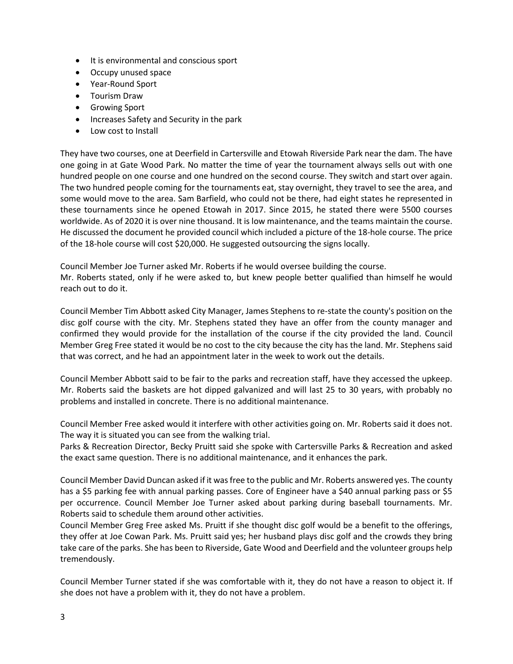- It is environmental and conscious sport
- Occupy unused space
- Year-Round Sport
- Tourism Draw
- Growing Sport
- Increases Safety and Security in the park
- Low cost to Install

They have two courses, one at Deerfield in Cartersville and Etowah Riverside Park near the dam. The have one going in at Gate Wood Park. No matter the time of year the tournament always sells out with one hundred people on one course and one hundred on the second course. They switch and start over again. The two hundred people coming for the tournaments eat, stay overnight, they travel to see the area, and some would move to the area. Sam Barfield, who could not be there, had eight states he represented in these tournaments since he opened Etowah in 2017. Since 2015, he stated there were 5500 courses worldwide. As of 2020 it is over nine thousand. It is low maintenance, and the teams maintain the course. He discussed the document he provided council which included a picture of the 18-hole course. The price of the 18-hole course will cost \$20,000. He suggested outsourcing the signs locally.

Council Member Joe Turner asked Mr. Roberts if he would oversee building the course. Mr. Roberts stated, only if he were asked to, but knew people better qualified than himself he would reach out to do it.

Council Member Tim Abbott asked City Manager, James Stephens to re-state the county's position on the disc golf course with the city. Mr. Stephens stated they have an offer from the county manager and confirmed they would provide for the installation of the course if the city provided the land. Council Member Greg Free stated it would be no cost to the city because the city has the land. Mr. Stephens said that was correct, and he had an appointment later in the week to work out the details.

Council Member Abbott said to be fair to the parks and recreation staff, have they accessed the upkeep. Mr. Roberts said the baskets are hot dipped galvanized and will last 25 to 30 years, with probably no problems and installed in concrete. There is no additional maintenance.

Council Member Free asked would it interfere with other activities going on. Mr. Roberts said it does not. The way it is situated you can see from the walking trial.

Parks & Recreation Director, Becky Pruitt said she spoke with Cartersville Parks & Recreation and asked the exact same question. There is no additional maintenance, and it enhances the park.

Council Member David Duncan asked if it was free to the public and Mr. Roberts answered yes. The county has a \$5 parking fee with annual parking passes. Core of Engineer have a \$40 annual parking pass or \$5 per occurrence. Council Member Joe Turner asked about parking during baseball tournaments. Mr. Roberts said to schedule them around other activities.

Council Member Greg Free asked Ms. Pruitt if she thought disc golf would be a benefit to the offerings, they offer at Joe Cowan Park. Ms. Pruitt said yes; her husband plays disc golf and the crowds they bring take care of the parks. She has been to Riverside, Gate Wood and Deerfield and the volunteer groups help tremendously.

Council Member Turner stated if she was comfortable with it, they do not have a reason to object it. If she does not have a problem with it, they do not have a problem.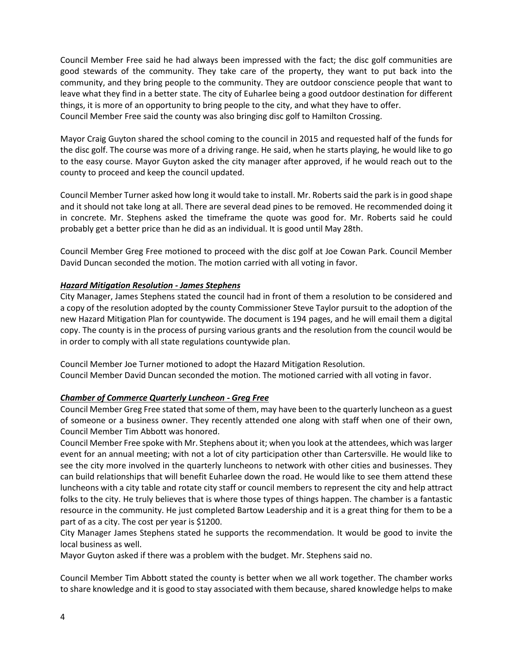Council Member Free said he had always been impressed with the fact; the disc golf communities are good stewards of the community. They take care of the property, they want to put back into the community, and they bring people to the community. They are outdoor conscience people that want to leave what they find in a better state. The city of Euharlee being a good outdoor destination for different things, it is more of an opportunity to bring people to the city, and what they have to offer. Council Member Free said the county was also bringing disc golf to Hamilton Crossing.

Mayor Craig Guyton shared the school coming to the council in 2015 and requested half of the funds for the disc golf. The course was more of a driving range. He said, when he starts playing, he would like to go to the easy course. Mayor Guyton asked the city manager after approved, if he would reach out to the county to proceed and keep the council updated.

Council Member Turner asked how long it would take to install. Mr. Roberts said the park is in good shape and it should not take long at all. There are several dead pines to be removed. He recommended doing it in concrete. Mr. Stephens asked the timeframe the quote was good for. Mr. Roberts said he could probably get a better price than he did as an individual. It is good until May 28th.

Council Member Greg Free motioned to proceed with the disc golf at Joe Cowan Park. Council Member David Duncan seconded the motion. The motion carried with all voting in favor.

### *Hazard Mitigation Resolution - James Stephens*

City Manager, James Stephens stated the council had in front of them a resolution to be considered and a copy of the resolution adopted by the county Commissioner Steve Taylor pursuit to the adoption of the new Hazard Mitigation Plan for countywide. The document is 194 pages, and he will email them a digital copy. The county is in the process of pursing various grants and the resolution from the council would be in order to comply with all state regulations countywide plan.

Council Member Joe Turner motioned to adopt the Hazard Mitigation Resolution. Council Member David Duncan seconded the motion. The motioned carried with all voting in favor.

#### *Chamber of Commerce Quarterly Luncheon - Greg Free*

Council Member Greg Free stated that some of them, may have been to the quarterly luncheon as a guest of someone or a business owner. They recently attended one along with staff when one of their own, Council Member Tim Abbott was honored.

Council Member Free spoke with Mr. Stephens about it; when you look at the attendees, which was larger event for an annual meeting; with not a lot of city participation other than Cartersville. He would like to see the city more involved in the quarterly luncheons to network with other cities and businesses. They can build relationships that will benefit Euharlee down the road. He would like to see them attend these luncheons with a city table and rotate city staff or council members to represent the city and help attract folks to the city. He truly believes that is where those types of things happen. The chamber is a fantastic resource in the community. He just completed Bartow Leadership and it is a great thing for them to be a part of as a city. The cost per year is \$1200.

City Manager James Stephens stated he supports the recommendation. It would be good to invite the local business as well.

Mayor Guyton asked if there was a problem with the budget. Mr. Stephens said no.

Council Member Tim Abbott stated the county is better when we all work together. The chamber works to share knowledge and it is good to stay associated with them because, shared knowledge helps to make